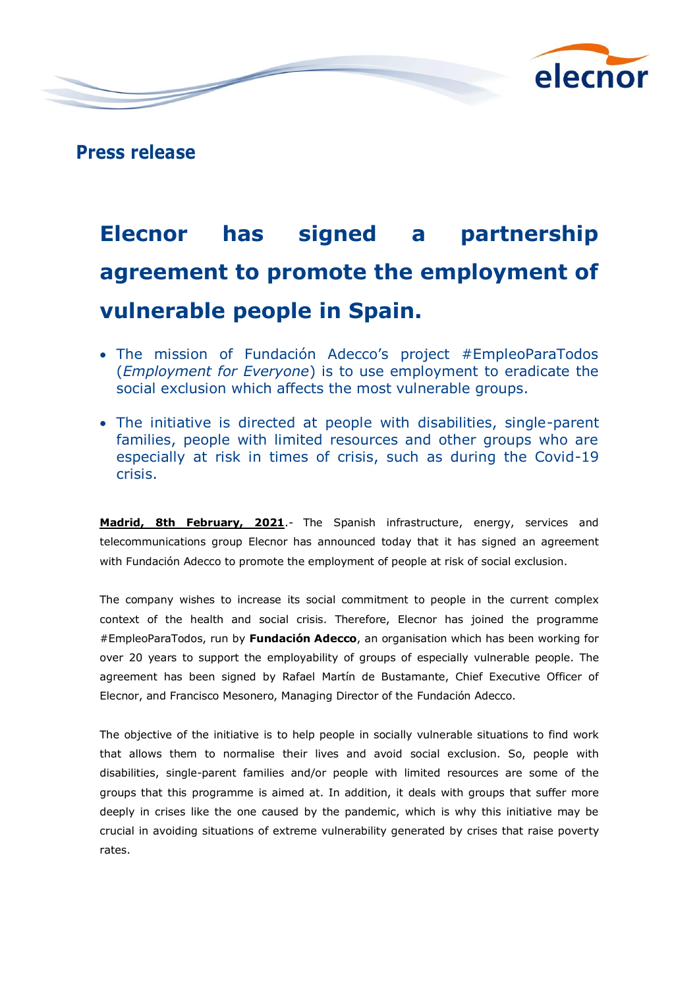

**Press release**

## **Elecnor has signed a partnership agreement to promote the employment of vulnerable people in Spain.**

- The mission of Fundación Adecco's project #EmpleoParaTodos (*Employment for Everyone*) is to use employment to eradicate the social exclusion which affects the most vulnerable groups.
- The initiative is directed at people with disabilities, single-parent families, people with limited resources and other groups who are especially at risk in times of crisis, such as during the Covid-19 crisis.

**Madrid, 8th February, 2021**.- The Spanish infrastructure, energy, services and telecommunications group Elecnor has announced today that it has signed an agreement with Fundación Adecco to promote the employment of people at risk of social exclusion.

The company wishes to increase its social commitment to people in the current complex context of the health and social crisis. Therefore, Elecnor has joined the programme #EmpleoParaTodos, run by **Fundación Adecco**, an organisation which has been working for over 20 years to support the employability of groups of especially vulnerable people. The agreement has been signed by Rafael Martín de Bustamante, Chief Executive Officer of Elecnor, and Francisco Mesonero, Managing Director of the Fundación Adecco.

The objective of the initiative is to help people in socially vulnerable situations to find work that allows them to normalise their lives and avoid social exclusion. So, people with disabilities, single-parent families and/or people with limited resources are some of the groups that this programme is aimed at. In addition, it deals with groups that suffer more deeply in crises like the one caused by the pandemic, which is why this initiative may be crucial in avoiding situations of extreme vulnerability generated by crises that raise poverty rates.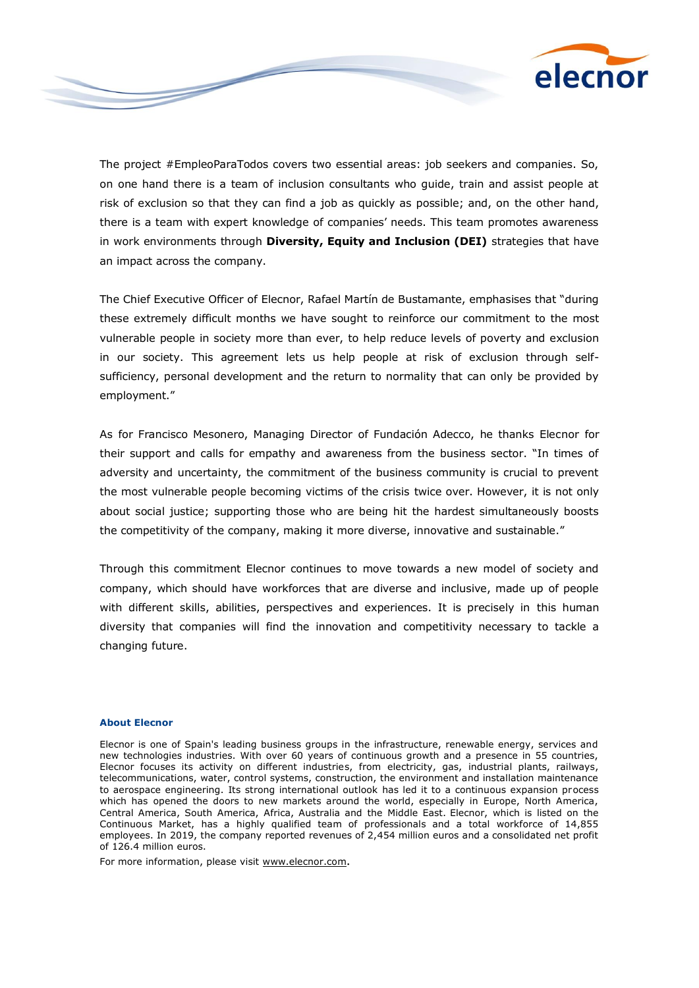

The project #EmpleoParaTodos covers two essential areas: job seekers and companies. So, on one hand there is a team of inclusion consultants who guide, train and assist people at risk of exclusion so that they can find a job as quickly as possible; and, on the other hand, there is a team with expert knowledge of companies' needs. This team promotes awareness in work environments through **Diversity, Equity and Inclusion (DEI)** strategies that have an impact across the company.

The Chief Executive Officer of Elecnor, Rafael Martín de Bustamante, emphasises that "during these extremely difficult months we have sought to reinforce our commitment to the most vulnerable people in society more than ever, to help reduce levels of poverty and exclusion in our society. This agreement lets us help people at risk of exclusion through selfsufficiency, personal development and the return to normality that can only be provided by employment."

As for Francisco Mesonero, Managing Director of Fundación Adecco, he thanks Elecnor for their support and calls for empathy and awareness from the business sector. "In times of adversity and uncertainty, the commitment of the business community is crucial to prevent the most vulnerable people becoming victims of the crisis twice over. However, it is not only about social justice; supporting those who are being hit the hardest simultaneously boosts the competitivity of the company, making it more diverse, innovative and sustainable."

Through this commitment Elecnor continues to move towards a new model of society and company, which should have workforces that are diverse and inclusive, made up of people with different skills, abilities, perspectives and experiences. It is precisely in this human diversity that companies will find the innovation and competitivity necessary to tackle a changing future.

## **About Elecnor**

Elecnor is one of Spain's leading business groups in the infrastructure, renewable energy, services and new technologies industries. With over 60 years of continuous growth and a presence in 55 countries, Elecnor focuses its activity on different industries, from electricity, gas, industrial plants, railways, telecommunications, water, control systems, construction, the environment and installation maintenance to aerospace engineering. Its strong international outlook has led it to a continuous expansion process which has opened the doors to new markets around the world, especially in Europe, North America, Central America, South America, Africa, Australia and the Middle East. Elecnor, which is listed on the Continuous Market, has a highly qualified team of professionals and a total workforce of 14,855 employees. In 2019, the company reported revenues of 2,454 million euros and a consolidated net profit of 126.4 million euros.

For more information, please visit [www.elecnor.com](http://www.elecnor.com/).